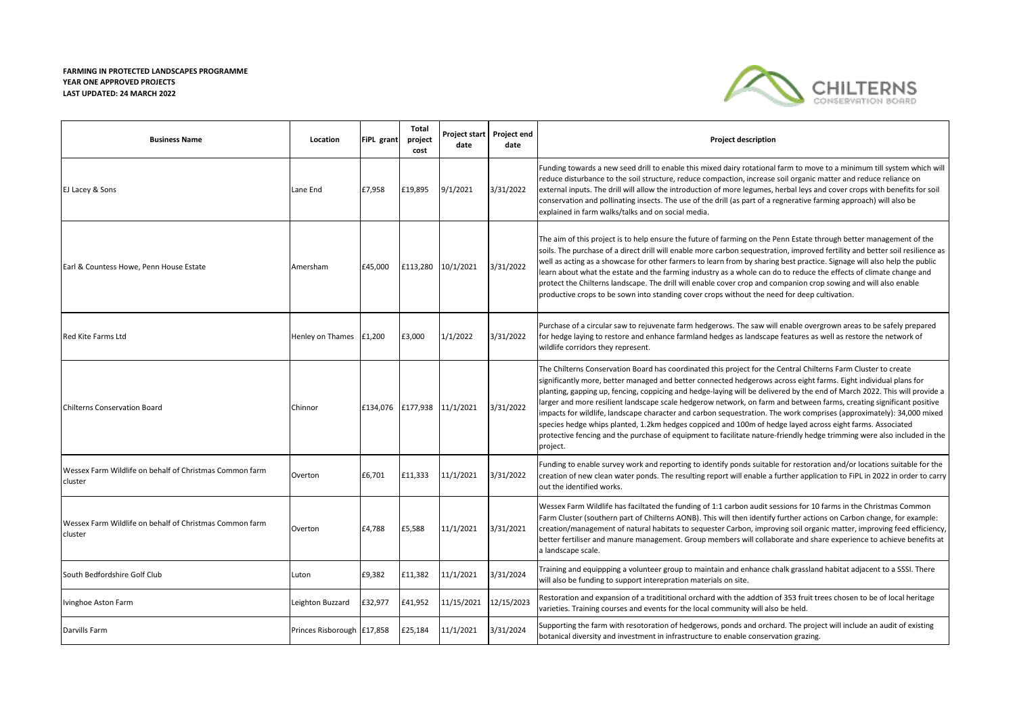## **FARMING IN PROTECTED LANDSCAPES PROGRAMME YEAR ONE APPROVED PROJECTS LAST UPDATED: 24 MARCH 2022**



| <b>Business Name</b>                                               | Location                   | FiPL grant | <b>Total</b><br>project<br>cost | Project start<br>date | Project end<br>date | <b>Project description</b>                                                                                                                                                                                                                                                                                                                                                                                                                                                                                                                                                                                                                                                                                                                                                                                                                                          |
|--------------------------------------------------------------------|----------------------------|------------|---------------------------------|-----------------------|---------------------|---------------------------------------------------------------------------------------------------------------------------------------------------------------------------------------------------------------------------------------------------------------------------------------------------------------------------------------------------------------------------------------------------------------------------------------------------------------------------------------------------------------------------------------------------------------------------------------------------------------------------------------------------------------------------------------------------------------------------------------------------------------------------------------------------------------------------------------------------------------------|
| EJ Lacey & Sons                                                    | Lane End                   | £7,958     | £19,895                         | 9/1/2021              | 3/31/2022           | Funding towards a new seed drill to enable this mixed dairy rotational farm to move to a minimum till system which will<br>reduce disturbance to the soil structure, reduce compaction, increase soil organic matter and reduce reliance on<br>external inputs. The drill will allow the introduction of more legumes, herbal leys and cover crops with benefits for soil<br>conservation and pollinating insects. The use of the drill (as part of a regnerative farming approach) will also be<br>explained in farm walks/talks and on social media.                                                                                                                                                                                                                                                                                                              |
| Earl & Countess Howe, Penn House Estate                            | Amersham                   | £45,000    | £113,280                        | 10/1/2021             | 3/31/2022           | The aim of this project is to help ensure the future of farming on the Penn Estate through better management of the<br>soils. The purchase of a direct drill will enable more carbon sequestration, improved fertility and better soil resilience as<br>well as acting as a showcase for other farmers to learn from by sharing best practice. Signage will also help the public<br>learn about what the estate and the farming industry as a whole can do to reduce the effects of climate change and<br>protect the Chilterns landscape. The drill will enable cover crop and companion crop sowing and will also enable<br>productive crops to be sown into standing cover crops without the need for deep cultivation.                                                                                                                                          |
| <b>Red Kite Farms Ltd</b>                                          | Henley on Thames £1,200    |            | £3,000                          | 1/1/2022              | 3/31/2022           | Purchase of a circular saw to rejuvenate farm hedgerows. The saw will enable overgrown areas to be safely prepared<br>for hedge laying to restore and enhance farmland hedges as landscape features as well as restore the network of<br>wildlife corridors they represent.                                                                                                                                                                                                                                                                                                                                                                                                                                                                                                                                                                                         |
| <b>Chilterns Conservation Board</b>                                | Chinnor                    | £134,076   | £177,938 11/1/2021              |                       | 3/31/2022           | The Chilterns Conservation Board has coordinated this project for the Central Chilterns Farm Cluster to create<br>significantly more, better managed and better connected hedgerows across eight farms. Eight individual plans for<br>planting, gapping up, fencing, coppicing and hedge-laying will be delivered by the end of March 2022. This will provide a<br>larger and more resilient landscape scale hedgerow network, on farm and between farms, creating significant positive<br>impacts for wildlife, landscape character and carbon sequestration. The work comprises (approximately): 34,000 mixed<br>species hedge whips planted, 1.2km hedges coppiced and 100m of hedge layed across eight farms. Associated<br>protective fencing and the purchase of equipment to facilitate nature-friendly hedge trimming were also included in the<br>project. |
| Wessex Farm Wildlife on behalf of Christmas Common farm<br>cluster | Overton                    | £6,701     | £11,333                         | 11/1/2021             | 3/31/2022           | Funding to enable survey work and reporting to identify ponds suitable for restoration and/or locations suitable for the<br>creation of new clean water ponds. The resulting report will enable a further application to FiPL in 2022 in order to carry<br>out the identified works.                                                                                                                                                                                                                                                                                                                                                                                                                                                                                                                                                                                |
| Wessex Farm Wildlife on behalf of Christmas Common farm<br>cluster | Overton                    | £4,788     | £5,588                          | 11/1/2021             | 3/31/2021           | Wessex Farm Wildlife has faciltated the funding of 1:1 carbon audit sessions for 10 farms in the Christmas Common<br>Farm Cluster (southern part of Chilterns AONB). This will then identify further actions on Carbon change, for example:<br>creation/management of natural habitats to sequester Carbon, improving soil organic matter, improving feed efficiency,<br>better fertiliser and manure management. Group members will collaborate and share experience to achieve benefits at<br>a landscape scale.                                                                                                                                                                                                                                                                                                                                                  |
| South Bedfordshire Golf Club                                       | Luton                      | £9,382     | £11,382                         | 11/1/2021             | 3/31/2024           | Training and equippping a volunteer group to maintain and enhance chalk grassland habitat adjacent to a SSSI. There<br>will also be funding to support interepration materials on site.                                                                                                                                                                                                                                                                                                                                                                                                                                                                                                                                                                                                                                                                             |
| Ivinghoe Aston Farm                                                | Leighton Buzzard           | £32,977    | £41,952                         | 11/15/2021            | 12/15/2023          | Restoration and expansion of a tradititional orchard with the addtion of 353 fruit trees chosen to be of local heritage<br>varieties. Training courses and events for the local community will also be held.                                                                                                                                                                                                                                                                                                                                                                                                                                                                                                                                                                                                                                                        |
| Darvills Farm                                                      | Princes Risborough E17,858 |            | £25,184                         | 11/1/2021             | 3/31/2024           | Supporting the farm with resotoration of hedgerows, ponds and orchard. The project will include an audit of existing<br>botanical diversity and investment in infrastructure to enable conservation grazing.                                                                                                                                                                                                                                                                                                                                                                                                                                                                                                                                                                                                                                                        |